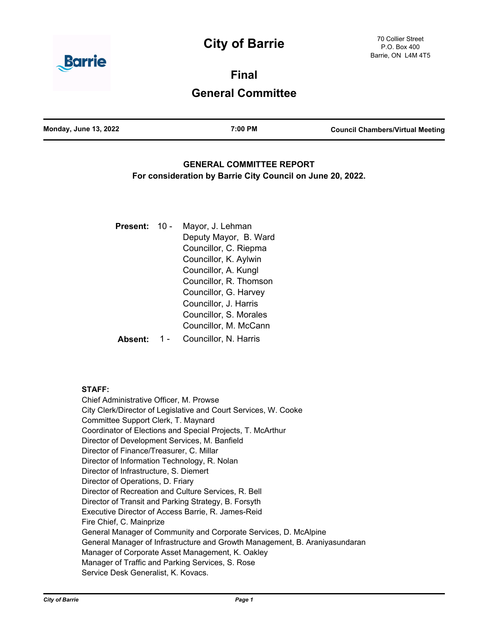# **City of Barrie**



**Final General Committee**

| <b>Monday, June 13, 2022</b> | 7:00 PM | <b>Council Chambers/Virtual Meeting</b> |
|------------------------------|---------|-----------------------------------------|
|                              |         |                                         |

# **GENERAL COMMITTEE REPORT For consideration by Barrie City Council on June 20, 2022.**

| <b>Present:</b> | $10 -$ | Mayor, J. Lehman       |  |
|-----------------|--------|------------------------|--|
|                 |        | Deputy Mayor, B. Ward  |  |
|                 |        | Councillor, C. Riepma  |  |
|                 |        | Councillor, K. Aylwin  |  |
|                 |        | Councillor, A. Kungl   |  |
|                 |        | Councillor, R. Thomson |  |
|                 |        | Councillor, G. Harvey  |  |
|                 |        | Councillor, J. Harris  |  |
|                 |        | Councillor, S. Morales |  |
|                 |        | Councillor, M. McCann  |  |
|                 |        | Councillor, N. Harris  |  |

## **STAFF:**

Chief Administrative Officer, M. Prowse City Clerk/Director of Legislative and Court Services, W. Cooke Committee Support Clerk, T. Maynard Coordinator of Elections and Special Projects, T. McArthur Director of Development Services, M. Banfield Director of Finance/Treasurer, C. Millar Director of Information Technology, R. Nolan Director of Infrastructure, S. Diemert Director of Operations, D. Friary Director of Recreation and Culture Services, R. Bell Director of Transit and Parking Strategy, B. Forsyth Executive Director of Access Barrie, R. James-Reid Fire Chief, C. Mainprize General Manager of Community and Corporate Services, D. McAlpine General Manager of Infrastructure and Growth Management, B. Araniyasundaran Manager of Corporate Asset Management, K. Oakley Manager of Traffic and Parking Services, S. Rose Service Desk Generalist, K. Kovacs.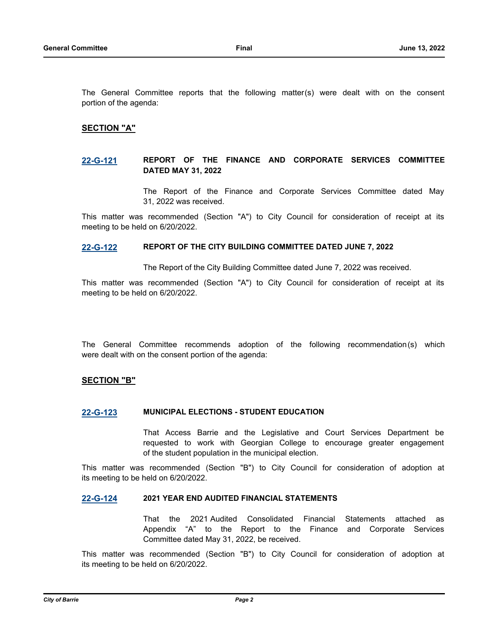The General Committee reports that the following matter(s) were dealt with on the consent portion of the agenda:

## **SECTION "A"**

## **[22-G-121](http://barrie.ca.legistar.com/gateway.aspx?m=l&id=/matter.aspx?key=50861) REPORT OF THE FINANCE AND CORPORATE SERVICES COMMITTEE DATED MAY 31, 2022**

The Report of the Finance and Corporate Services Committee dated May 31, 2022 was received.

This matter was recommended (Section "A") to City Council for consideration of receipt at its meeting to be held on 6/20/2022.

## **[22-G-122](http://barrie.ca.legistar.com/gateway.aspx?m=l&id=/matter.aspx?key=50864) REPORT OF THE CITY BUILDING COMMITTEE DATED JUNE 7, 2022**

The Report of the City Building Committee dated June 7, 2022 was received.

This matter was recommended (Section "A") to City Council for consideration of receipt at its meeting to be held on 6/20/2022.

The General Committee recommends adoption of the following recommendation(s) which were dealt with on the consent portion of the agenda:

## **SECTION "B"**

## **[22-G-123](http://barrie.ca.legistar.com/gateway.aspx?m=l&id=/matter.aspx?key=50747) MUNICIPAL ELECTIONS - STUDENT EDUCATION**

That Access Barrie and the Legislative and Court Services Department be requested to work with Georgian College to encourage greater engagement of the student population in the municipal election.

This matter was recommended (Section "B") to City Council for consideration of adoption at its meeting to be held on 6/20/2022.

#### **[22-G-124](http://barrie.ca.legistar.com/gateway.aspx?m=l&id=/matter.aspx?key=50719) 2021 YEAR END AUDITED FINANCIAL STATEMENTS**

That the 2021 Audited Consolidated Financial Statements attached as Appendix "A" to the Report to the Finance and Corporate Services Committee dated May 31, 2022, be received.

This matter was recommended (Section "B") to City Council for consideration of adoption at its meeting to be held on 6/20/2022.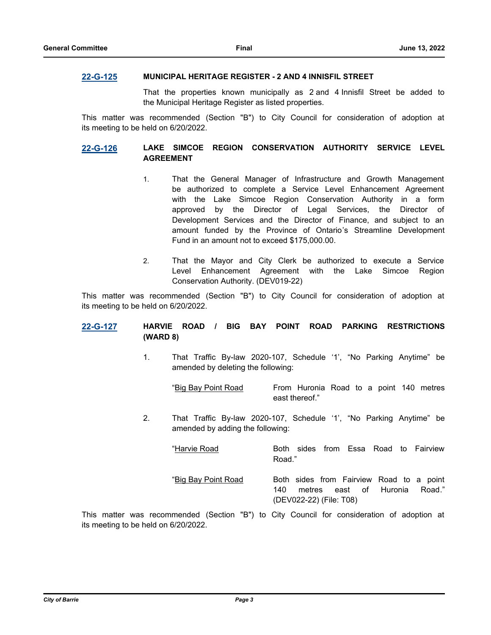#### **[22-G-125](http://barrie.ca.legistar.com/gateway.aspx?m=l&id=/matter.aspx?key=50789) MUNICIPAL HERITAGE REGISTER - 2 AND 4 INNISFIL STREET**

That the properties known municipally as 2 and 4 Innisfil Street be added to the Municipal Heritage Register as listed properties.

This matter was recommended (Section "B") to City Council for consideration of adoption at its meeting to be held on 6/20/2022.

## **[22-G-126](http://barrie.ca.legistar.com/gateway.aspx?m=l&id=/matter.aspx?key=50838) LAKE SIMCOE REGION CONSERVATION AUTHORITY SERVICE LEVEL AGREEMENT**

- 1. That the General Manager of Infrastructure and Growth Management be authorized to complete a Service Level Enhancement Agreement with the Lake Simcoe Region Conservation Authority in a form approved by the Director of Legal Services, the Director of Development Services and the Director of Finance, and subject to an amount funded by the Province of Ontario's Streamline Development Fund in an amount not to exceed \$175,000.00.
- 2. That the Mayor and City Clerk be authorized to execute a Service Level Enhancement Agreement with the Lake Simcoe Region Conservation Authority. (DEV019-22)

This matter was recommended (Section "B") to City Council for consideration of adoption at its meeting to be held on 6/20/2022.

## **[22-G-127](http://barrie.ca.legistar.com/gateway.aspx?m=l&id=/matter.aspx?key=50841) HARVIE ROAD / BIG BAY POINT ROAD PARKING RESTRICTIONS (WARD 8)**

1. That Traffic By-law 2020-107, Schedule '1', "No Parking Anytime" be amended by deleting the following:

"Big Bay Point Road From Huronia Road to a point 140 metres east thereof."

2. That Traffic By-law 2020-107, Schedule '1', "No Parking Anytime" be amended by adding the following:

"Harvie Road Both sides from Essa Road to Fairview Road."

"Big Bay Point Road Both sides from Fairview Road to a point 140 metres east of Huronia Road." (DEV022-22) (File: T08)

This matter was recommended (Section "B") to City Council for consideration of adoption at its meeting to be held on 6/20/2022.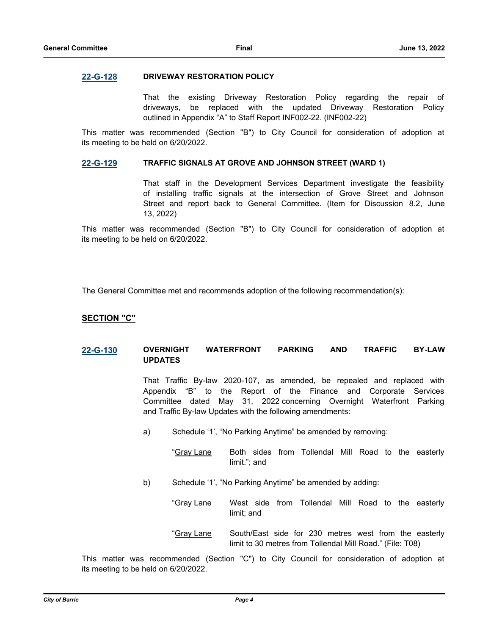#### **[22-G-128](http://barrie.ca.legistar.com/gateway.aspx?m=l&id=/matter.aspx?key=50810) DRIVEWAY RESTORATION POLICY**

That the existing Driveway Restoration Policy regarding the repair of driveways, be replaced with the updated Driveway Restoration Policy outlined in Appendix "A" to Staff Report INF002-22. (INF002-22)

This matter was recommended (Section "B") to City Council for consideration of adoption at its meeting to be held on 6/20/2022.

#### **[22-G-129](http://barrie.ca.legistar.com/gateway.aspx?m=l&id=/matter.aspx?key=50859) TRAFFIC SIGNALS AT GROVE AND JOHNSON STREET (WARD 1)**

That staff in the Development Services Department investigate the feasibility of installing traffic signals at the intersection of Grove Street and Johnson Street and report back to General Committee. (Item for Discussion 8.2, June 13, 2022)

This matter was recommended (Section "B") to City Council for consideration of adoption at its meeting to be held on 6/20/2022.

The General Committee met and recommends adoption of the following recommendation(s):

## **SECTION "C"**

## **[22-G-130](http://barrie.ca.legistar.com/gateway.aspx?m=l&id=/matter.aspx?key=50699) OVERNIGHT WATERFRONT PARKING AND TRAFFIC BY-LAW UPDATES**

That Traffic By-law 2020-107, as amended, be repealed and replaced with Appendix "B" to the Report of the Finance and Corporate Services Committee dated May 31, 2022 concerning Overnight Waterfront Parking and Traffic By-law Updates with the following amendments:

- a) Schedule '1', "No Parking Anytime" be amended by removing:
	- "Gray Lane Both sides from Tollendal Mill Road to the easterly limit."; and
- b) Schedule '1', "No Parking Anytime" be amended by adding:
	- "Gray Lane West side from Tollendal Mill Road to the easterly limit; and
	- "Gray Lane South/East side for 230 metres west from the easterly limit to 30 metres from Tollendal Mill Road." (File: T08)

This matter was recommended (Section "C") to City Council for consideration of adoption at its meeting to be held on 6/20/2022.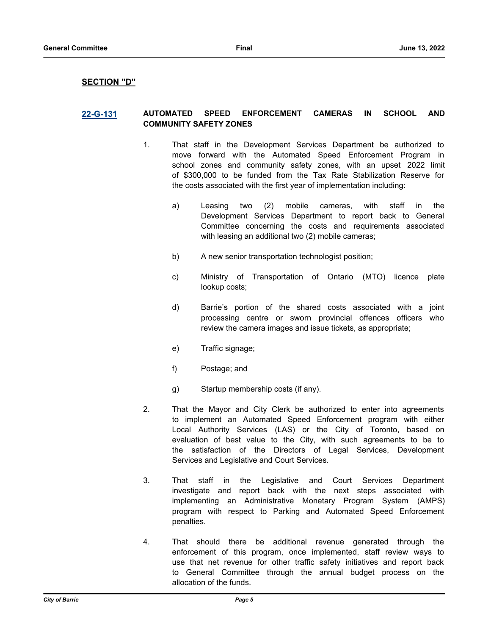#### **SECTION "D"**

## **[22-G-131](http://barrie.ca.legistar.com/gateway.aspx?m=l&id=/matter.aspx?key=50842) AUTOMATED SPEED ENFORCEMENT CAMERAS IN SCHOOL AND COMMUNITY SAFETY ZONES**

- 1. That staff in the Development Services Department be authorized to move forward with the Automated Speed Enforcement Program in school zones and community safety zones, with an upset 2022 limit of \$300,000 to be funded from the Tax Rate Stabilization Reserve for the costs associated with the first year of implementation including:
	- a) Leasing two (2) mobile cameras, with staff in the Development Services Department to report back to General Committee concerning the costs and requirements associated with leasing an additional two (2) mobile cameras;
	- b) A new senior transportation technologist position;
	- c) Ministry of Transportation of Ontario (MTO) licence plate lookup costs;
	- d) Barrie's portion of the shared costs associated with a joint processing centre or sworn provincial offences officers who review the camera images and issue tickets, as appropriate;
	- e) Traffic signage;
	- f) Postage; and
	- g) Startup membership costs (if any).
- 2. That the Mayor and City Clerk be authorized to enter into agreements to implement an Automated Speed Enforcement program with either Local Authority Services (LAS) or the City of Toronto, based on evaluation of best value to the City, with such agreements to be to the satisfaction of the Directors of Legal Services, Development Services and Legislative and Court Services.
- 3. That staff in the Legislative and Court Services Department investigate and report back with the next steps associated with implementing an Administrative Monetary Program System (AMPS) program with respect to Parking and Automated Speed Enforcement penalties.
- 4. That should there be additional revenue generated through the enforcement of this program, once implemented, staff review ways to use that net revenue for other traffic safety initiatives and report back to General Committee through the annual budget process on the allocation of the funds.